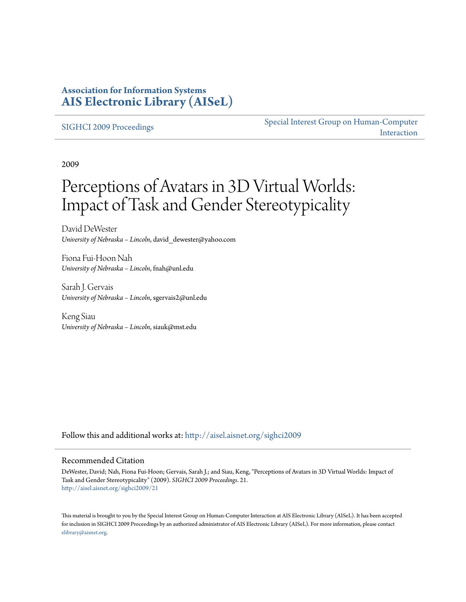### **Association for Information Systems [AIS Electronic Library \(AISeL\)](http://aisel.aisnet.org?utm_source=aisel.aisnet.org%2Fsighci2009%2F21&utm_medium=PDF&utm_campaign=PDFCoverPages)**

#### [SIGHCI 2009 Proceedings](http://aisel.aisnet.org/sighci2009?utm_source=aisel.aisnet.org%2Fsighci2009%2F21&utm_medium=PDF&utm_campaign=PDFCoverPages)

[Special Interest Group on Human-Computer](http://aisel.aisnet.org/sighci?utm_source=aisel.aisnet.org%2Fsighci2009%2F21&utm_medium=PDF&utm_campaign=PDFCoverPages) [Interaction](http://aisel.aisnet.org/sighci?utm_source=aisel.aisnet.org%2Fsighci2009%2F21&utm_medium=PDF&utm_campaign=PDFCoverPages)

2009

# Perceptions of Avatars in 3D Virtual Worlds: Impact of Task and Gender Stereotypicality

David DeWester *University of Nebraska – Lincoln*, david\_dewester@yahoo.com

Fiona Fui-Hoon Nah *University of Nebraska – Lincoln*, fnah@unl.edu

Sarah J. Gervais *University of Nebraska – Lincoln*, sgervais2@unl.edu

Keng Siau *University of Nebraska – Lincoln*, siauk@mst.edu

Follow this and additional works at: [http://aisel.aisnet.org/sighci2009](http://aisel.aisnet.org/sighci2009?utm_source=aisel.aisnet.org%2Fsighci2009%2F21&utm_medium=PDF&utm_campaign=PDFCoverPages)

#### Recommended Citation

DeWester, David; Nah, Fiona Fui-Hoon; Gervais, Sarah J.; and Siau, Keng, "Perceptions of Avatars in 3D Virtual Worlds: Impact of Task and Gender Stereotypicality" (2009). *SIGHCI 2009 Proceedings*. 21. [http://aisel.aisnet.org/sighci2009/21](http://aisel.aisnet.org/sighci2009/21?utm_source=aisel.aisnet.org%2Fsighci2009%2F21&utm_medium=PDF&utm_campaign=PDFCoverPages)

This material is brought to you by the Special Interest Group on Human-Computer Interaction at AIS Electronic Library (AISeL). It has been accepted for inclusion in SIGHCI 2009 Proceedings by an authorized administrator of AIS Electronic Library (AISeL). For more information, please contact [elibrary@aisnet.org.](mailto:elibrary@aisnet.org%3E)